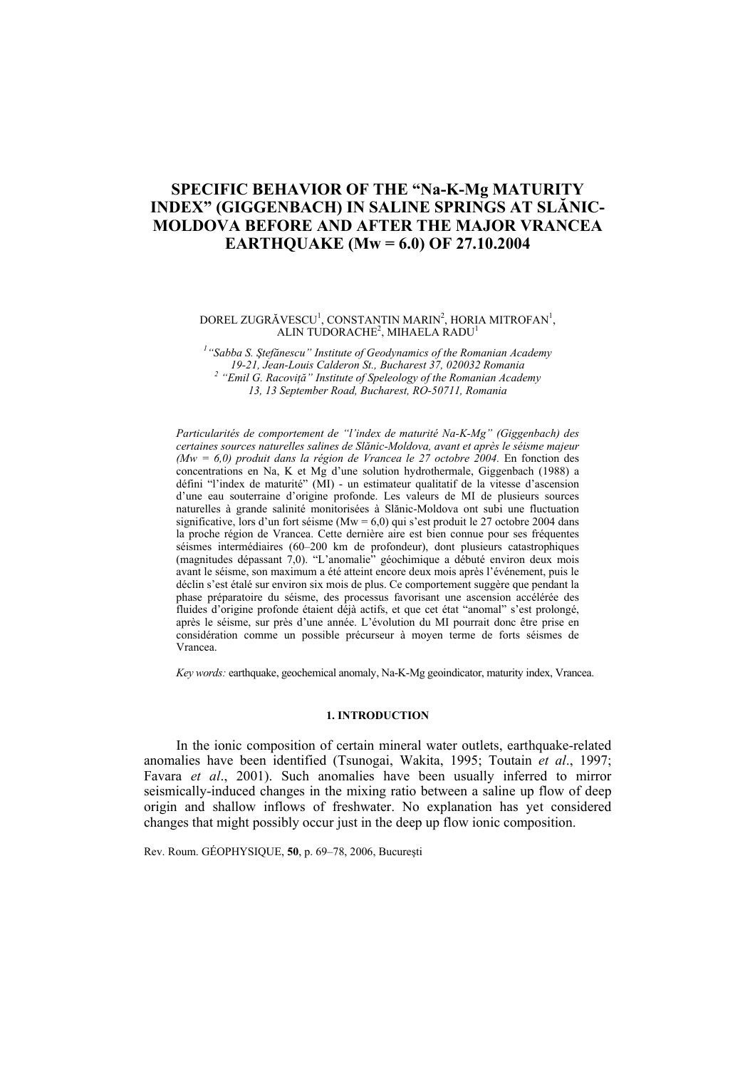# **SPECIFIC BEHAVIOR OF THE "Na-K-Mg MATURITY INDEX" (GIGGENBACH) IN SALINE SPRINGS AT SLĂNIC-MOLDOVA BEFORE AND AFTER THE MAJOR VRANCEA EARTHQUAKE (Mw = 6.0) OF 27.10.2004**

### DOREL ZUGRĂVESCU<sup>1</sup>, CONSTANTIN MARIN<sup>2</sup>, HORIA MITROFAN<sup>1</sup>, ALIN TUDORACHE<sup>2</sup>, MIHAELA RADU<sup>1</sup>

*1 "Sabba S. Ştefănescu" Institute of Geodynamics of the Romanian Academy 19-21, Jean-Louis Calderon St., Bucharest 37, 020032 Romania 2 "Emil G. Racoviţă" Institute of Speleology of the Romanian Academy 13, 13 September Road, Bucharest, RO-50711, Romania* 

*Particularités de comportement de "l'index de maturité Na-K-Mg" (Giggenbach) des certaines sources naturelles salines de Slănic-Moldova, avant et après le séisme majeur (Mw = 6,0) produit dans la région de Vrancea le 27 octobre 2004. En fonction des* concentrations en Na, K et Mg d'une solution hydrothermale, Giggenbach (1988) a défini "l'index de maturité" (MI) - un estimateur qualitatif de la vitesse d'ascension d'une eau souterraine d'origine profonde. Les valeurs de MI de plusieurs sources naturelles à grande salinité monitorisées à Slănic-Moldova ont subi une fluctuation significative, lors d'un fort séisme (Mw =  $6,0$ ) qui s'est produit le 27 octobre 2004 dans la proche région de Vrancea. Cette dernière aire est bien connue pour ses fréquentes séismes intermédiaires (60–200 km de profondeur), dont plusieurs catastrophiques (magnitudes dépassant 7,0). "L'anomalie" géochimique a débuté environ deux mois avant le séisme, son maximum a été atteint encore deux mois après l'événement, puis le déclin s'est étalé sur environ six mois de plus. Ce comportement suggère que pendant la phase préparatoire du séisme, des processus favorisant une ascension accélérée des fluides d'origine profonde étaient déjà actifs, et que cet état "anomal" s'est prolongé, après le séisme, sur près d'une année. L'évolution du MI pourrait donc être prise en considération comme un possible précurseur à moyen terme de forts séismes de Vrancea.

*Key words:* earthquake, geochemical anomaly, Na-K-Mg geoindicator, maturity index, Vrancea.

### **1. INTRODUCTION**

In the ionic composition of certain mineral water outlets, earthquake-related anomalies have been identified (Tsunogai, Wakita, 1995; Toutain *et al*., 1997; Favara *et al*., 2001). Such anomalies have been usually inferred to mirror seismically-induced changes in the mixing ratio between a saline up flow of deep origin and shallow inflows of freshwater. No explanation has yet considered changes that might possibly occur just in the deep up flow ionic composition.

Rev. Roum. GÉOPHYSIQUE, **50**, p. 69–78, 2006, Bucureşti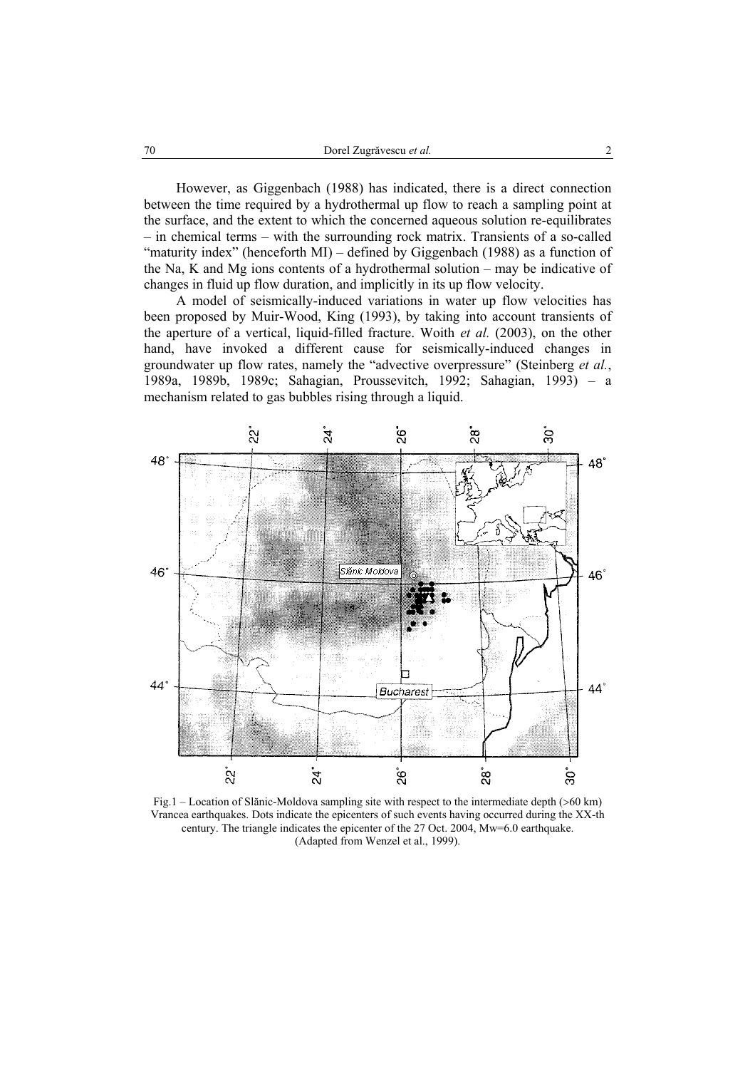However, as Giggenbach (1988) has indicated, there is a direct connection between the time required by a hydrothermal up flow to reach a sampling point at the surface, and the extent to which the concerned aqueous solution re-equilibrates – in chemical terms – with the surrounding rock matrix. Transients of a so-called "maturity index" (henceforth MI) – defined by Giggenbach (1988) as a function of the Na, K and Mg ions contents of a hydrothermal solution – may be indicative of changes in fluid up flow duration, and implicitly in its up flow velocity.

A model of seismically-induced variations in water up flow velocities has been proposed by Muir-Wood, King (1993), by taking into account transients of the aperture of a vertical, liquid-filled fracture. Woith *et al.* (2003), on the other hand, have invoked a different cause for seismically-induced changes in groundwater up flow rates, namely the "advective overpressure" (Steinberg *et al.*, 1989a, 1989b, 1989c; Sahagian, Proussevitch, 1992; Sahagian, 1993) – a mechanism related to gas bubbles rising through a liquid.



Fig.1 – Location of Slănic-Moldova sampling site with respect to the intermediate depth (>60 km) Vrancea earthquakes. Dots indicate the epicenters of such events having occurred during the XX-th century. The triangle indicates the epicenter of the 27 Oct. 2004, Mw=6.0 earthquake. (Adapted from Wenzel et al., 1999).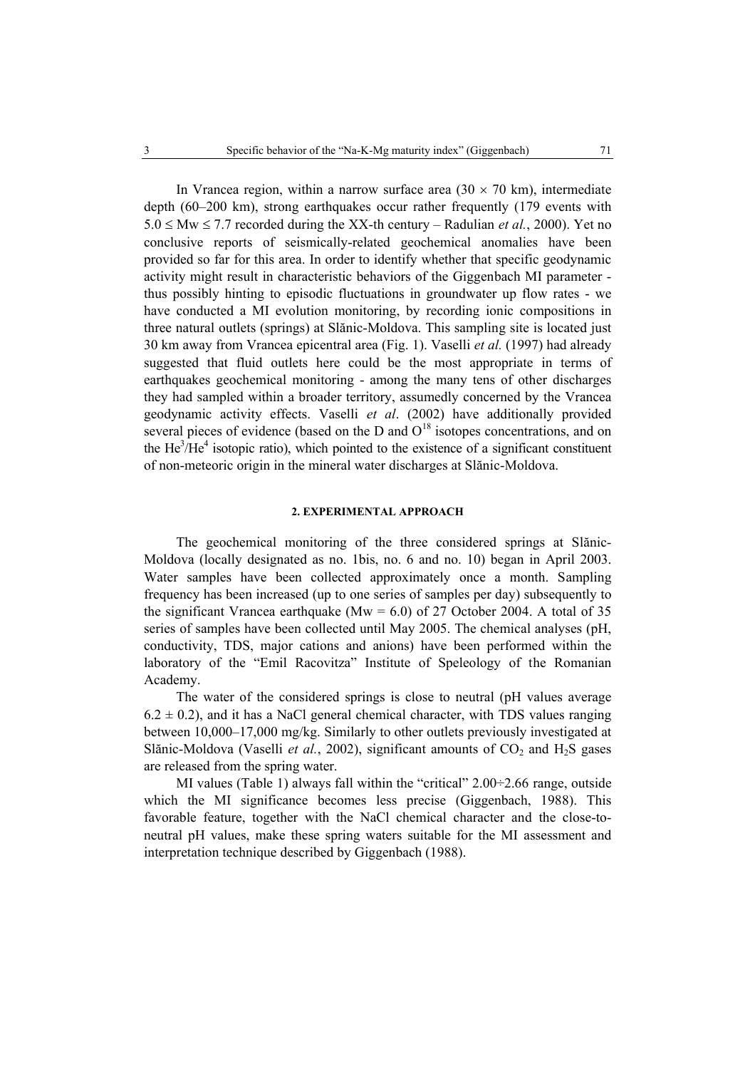In Vrancea region, within a narrow surface area  $(30 \times 70 \text{ km})$ , intermediate depth (60–200 km), strong earthquakes occur rather frequently (179 events with 5.0 ≤ Mw ≤ 7.7 recorded during the XX-th century – Radulian *et al.*, 2000). Yet no conclusive reports of seismically-related geochemical anomalies have been provided so far for this area. In order to identify whether that specific geodynamic activity might result in characteristic behaviors of the Giggenbach MI parameter thus possibly hinting to episodic fluctuations in groundwater up flow rates - we have conducted a MI evolution monitoring, by recording ionic compositions in three natural outlets (springs) at Slănic-Moldova. This sampling site is located just 30 km away from Vrancea epicentral area (Fig. 1). Vaselli *et al.* (1997) had already suggested that fluid outlets here could be the most appropriate in terms of earthquakes geochemical monitoring - among the many tens of other discharges they had sampled within a broader territory, assumedly concerned by the Vrancea geodynamic activity effects. Vaselli *et al*. (2002) have additionally provided several pieces of evidence (based on the D and  $O<sup>18</sup>$  isotopes concentrations, and on the  $He<sup>3</sup>/He<sup>4</sup>$  isotopic ratio), which pointed to the existence of a significant constituent of non-meteoric origin in the mineral water discharges at Slănic-Moldova.

## **2. EXPERIMENTAL APPROACH**

The geochemical monitoring of the three considered springs at Slănic-Moldova (locally designated as no. 1bis, no. 6 and no. 10) began in April 2003. Water samples have been collected approximately once a month. Sampling frequency has been increased (up to one series of samples per day) subsequently to the significant Vrancea earthquake (Mw =  $6.0$ ) of 27 October 2004. A total of 35 series of samples have been collected until May 2005. The chemical analyses (pH, conductivity, TDS, major cations and anions) have been performed within the laboratory of the "Emil Racovitza" Institute of Speleology of the Romanian Academy.

The water of the considered springs is close to neutral (pH values average  $6.2 \pm 0.2$ ), and it has a NaCl general chemical character, with TDS values ranging between 10,000–17,000 mg/kg. Similarly to other outlets previously investigated at Slănic-Moldova (Vaselli *et al.*, 2002), significant amounts of  $CO<sub>2</sub>$  and  $H<sub>2</sub>S$  gases are released from the spring water.

MI values (Table 1) always fall within the "critical" 2.00÷2.66 range, outside which the MI significance becomes less precise (Giggenbach, 1988). This favorable feature, together with the NaCl chemical character and the close-toneutral pH values, make these spring waters suitable for the MI assessment and interpretation technique described by Giggenbach (1988).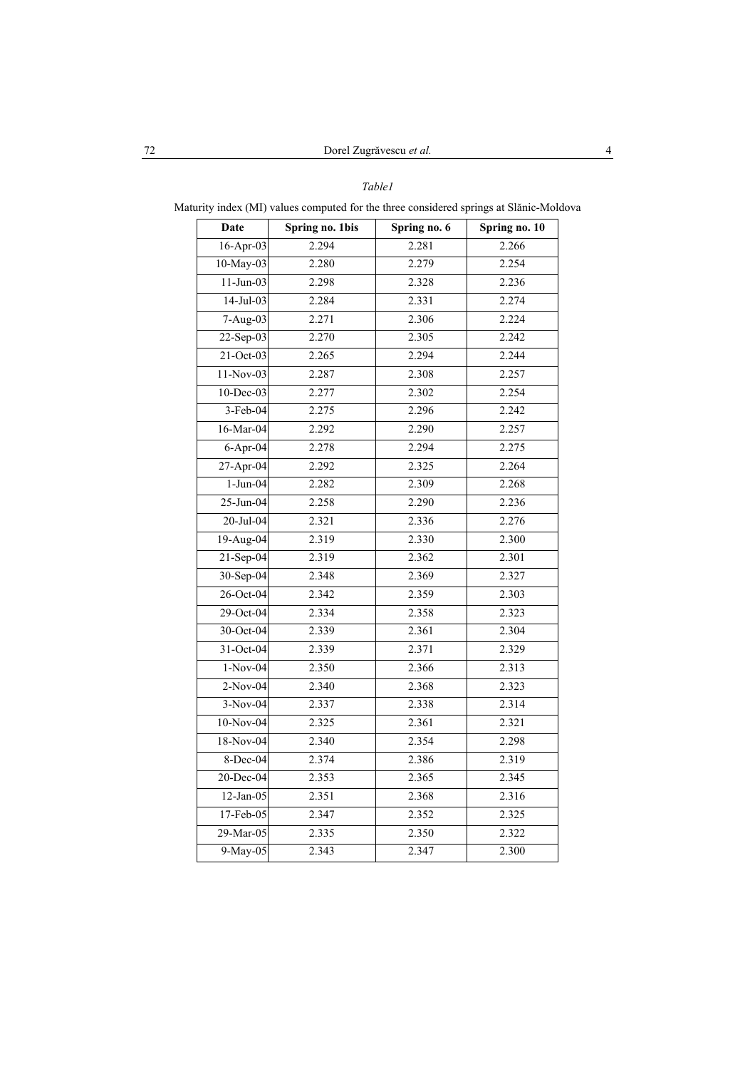## *Table1*

Maturity index (MI) values computed for the three considered springs at Slănic-Moldova

| Date                    | Spring no. 1bis | Spring no. 6 | Spring no. 10 |
|-------------------------|-----------------|--------------|---------------|
| 16-Apr-03               | 2.294           | 2.281        | 2.266         |
| 10-May-03               | 2.280           | 2.279        | 2.254         |
| $11-Jun-03$             | 2.298           | 2.328        | 2.236         |
| $14-Jul-03$             | 2.284           | 2.331        | 2.274         |
| 7-Aug-03                | 2.271           | 2.306        | 2.224         |
| 22-Sep-03               | 2.270           | 2.305        | 2.242         |
| 21-Oct-03               | 2.265           | 2.294        | 2.244         |
| 11-Nov-03               | 2.287           | 2.308        | 2.257         |
| $\overline{10}$ -Dec-03 | 2.277           | 2.302        | 2.254         |
| 3-Feb-04                | 2.275           | 2.296        | 2.242         |
| 16-Mar-04               | 2.292           | 2.290        | 2.257         |
| $6-Apr-04$              | 2.278           | 2.294        | 2.275         |
| 27-Apr-04               | 2.292           | 2.325        | 2.264         |
| $1-Jun-04$              | 2.282           | 2.309        | 2.268         |
| 25-Jun-04               | 2.258           | 2.290        | 2.236         |
| 20-Jul-04               | 2.321           | 2.336        | 2.276         |
| 19-Aug-04               | 2.319           | 2.330        | 2.300         |
| 21-Sep-04               | 2.319           | 2.362        | 2.301         |
| 30-Sep-04               | 2.348           | 2.369        | 2.327         |
| 26-Oct-04               | 2.342           | 2.359        | 2.303         |
| 29-Oct-04               | 2.334           | 2.358        | 2.323         |
| 30-Oct-04               | 2.339           | 2.361        | 2.304         |
| 31-Oct-04               | 2.339           | 2.371        | 2.329         |
| $1-Nov-04$              | 2.350           | 2.366        | 2.313         |
| 2-Nov-04                | 2.340           | 2.368        | 2.323         |
| $3-Nov-04$              | 2.337           | 2.338        | 2.314         |
| 10-Nov-04               | 2.325           | 2.361        | 2.321         |
| 18-Nov-04               | 2.340           | 2.354        | 2.298         |
| 8-Dec-04                | 2.374           | 2.386        | 2.319         |
| $20$ -Dec-04            | 2.353           | 2.365        | 2.345         |
| 12-Jan-05               | 2.351           | 2.368        | 2.316         |
| 17-Feb-05               | 2.347           | 2.352        | 2.325         |
| 29-Mar-05               | 2.335           | 2.350        | 2.322         |
| 9-May-05                | 2.343           | 2.347        | 2.300         |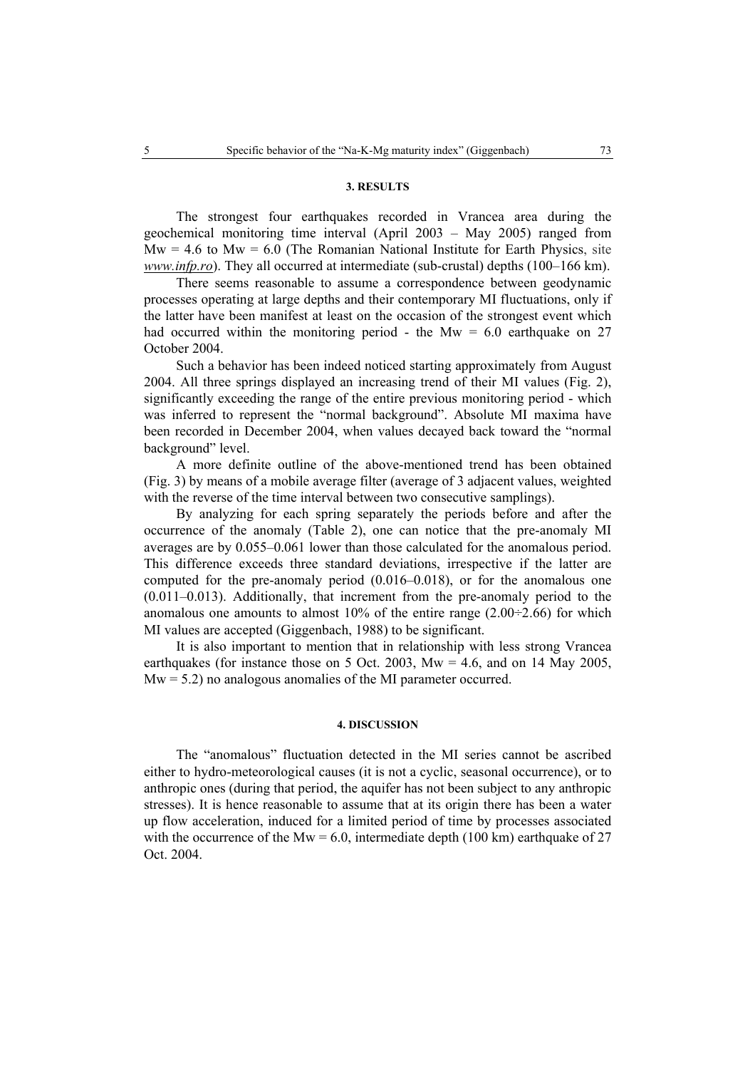## **3. RESULTS**

The strongest four earthquakes recorded in Vrancea area during the geochemical monitoring time interval (April 2003 – May 2005) ranged from  $Mw = 4.6$  to  $Mw = 6.0$  (The Romanian National Institute for Earth Physics, site *www.infp.ro*). They all occurred at intermediate (sub-crustal) depths (100–166 km).

There seems reasonable to assume a correspondence between geodynamic processes operating at large depths and their contemporary MI fluctuations, only if the latter have been manifest at least on the occasion of the strongest event which had occurred within the monitoring period - the Mw  $= 6.0$  earthquake on 27 October 2004.

Such a behavior has been indeed noticed starting approximately from August 2004. All three springs displayed an increasing trend of their MI values (Fig. 2), significantly exceeding the range of the entire previous monitoring period - which was inferred to represent the "normal background". Absolute MI maxima have been recorded in December 2004, when values decayed back toward the "normal background" level.

A more definite outline of the above-mentioned trend has been obtained (Fig. 3) by means of a mobile average filter (average of 3 adjacent values, weighted with the reverse of the time interval between two consecutive samplings).

By analyzing for each spring separately the periods before and after the occurrence of the anomaly (Table 2), one can notice that the pre-anomaly MI averages are by 0.055–0.061 lower than those calculated for the anomalous period. This difference exceeds three standard deviations, irrespective if the latter are computed for the pre-anomaly period (0.016–0.018), or for the anomalous one (0.011–0.013). Additionally, that increment from the pre-anomaly period to the anomalous one amounts to almost 10% of the entire range  $(2.00\div 2.66)$  for which MI values are accepted (Giggenbach, 1988) to be significant.

It is also important to mention that in relationship with less strong Vrancea earthquakes (for instance those on 5 Oct. 2003,  $Mw = 4.6$ , and on 14 May 2005,  $Mw = 5.2$ ) no analogous anomalies of the MI parameter occurred.

### **4. DISCUSSION**

The "anomalous" fluctuation detected in the MI series cannot be ascribed either to hydro-meteorological causes (it is not a cyclic, seasonal occurrence), or to anthropic ones (during that period, the aquifer has not been subject to any anthropic stresses). It is hence reasonable to assume that at its origin there has been a water up flow acceleration, induced for a limited period of time by processes associated with the occurrence of the Mw =  $6.0$ , intermediate depth (100 km) earthquake of 27 Oct. 2004.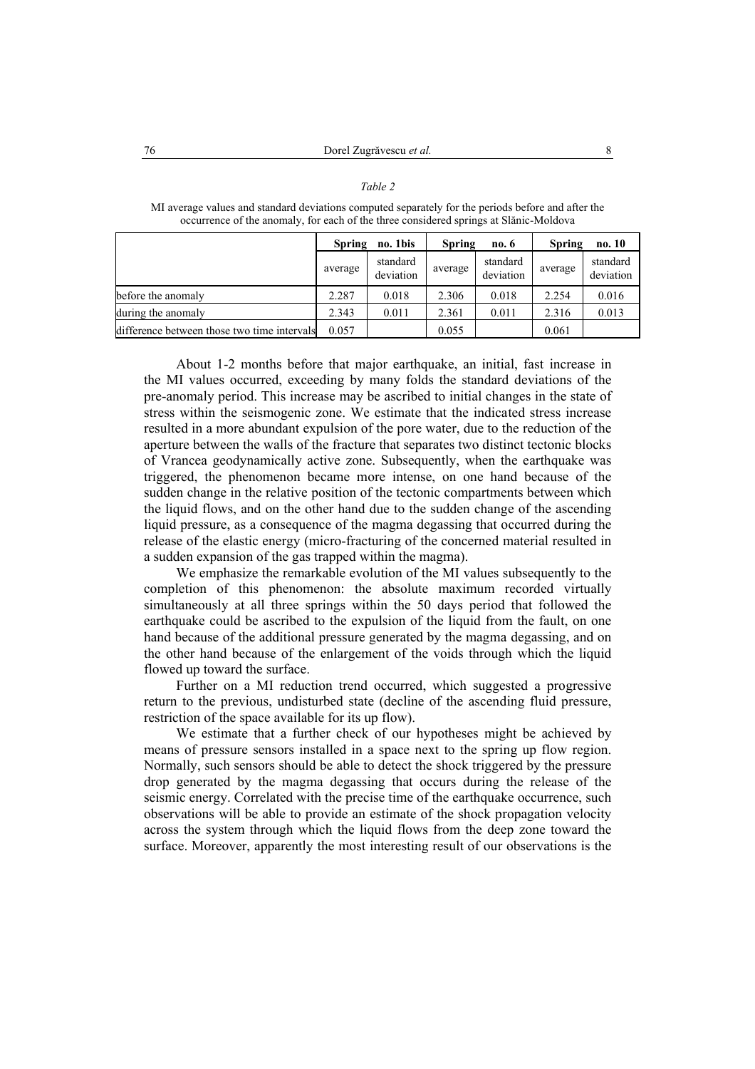| occurrence of the anomary, for each of the three considered springs at shalle-ivioldova |                           |                       |                        |                       |                         |                       |  |  |  |
|-----------------------------------------------------------------------------------------|---------------------------|-----------------------|------------------------|-----------------------|-------------------------|-----------------------|--|--|--|
|                                                                                         | no. 1bis<br><b>Spring</b> |                       | <b>Spring</b><br>no. 6 |                       | <b>Spring</b><br>no. 10 |                       |  |  |  |
|                                                                                         | average                   | standard<br>deviation | average                | standard<br>deviation | average                 | standard<br>deviation |  |  |  |
| before the anomaly                                                                      | 2.287                     | 0.018                 | 2.306                  | 0.018                 | 2.254                   | 0.016                 |  |  |  |
| during the anomaly                                                                      | 2.343                     | 0.011                 | 2.361                  | 0.011                 | 2.316                   | 0.013                 |  |  |  |
| difference between those two time intervals                                             | 0.057                     |                       | 0.055                  |                       | 0.061                   |                       |  |  |  |

MI average values and standard deviations computed separately for the periods before and after the occurrence of the anomaly, for each of the three considered springs at Slănic-Moldova

*Table 2* 

About 1-2 months before that major earthquake, an initial, fast increase in the MI values occurred, exceeding by many folds the standard deviations of the pre-anomaly period. This increase may be ascribed to initial changes in the state of stress within the seismogenic zone. We estimate that the indicated stress increase resulted in a more abundant expulsion of the pore water, due to the reduction of the aperture between the walls of the fracture that separates two distinct tectonic blocks of Vrancea geodynamically active zone. Subsequently, when the earthquake was triggered, the phenomenon became more intense, on one hand because of the sudden change in the relative position of the tectonic compartments between which the liquid flows, and on the other hand due to the sudden change of the ascending liquid pressure, as a consequence of the magma degassing that occurred during the release of the elastic energy (micro-fracturing of the concerned material resulted in a sudden expansion of the gas trapped within the magma).

We emphasize the remarkable evolution of the MI values subsequently to the completion of this phenomenon: the absolute maximum recorded virtually simultaneously at all three springs within the 50 days period that followed the earthquake could be ascribed to the expulsion of the liquid from the fault, on one hand because of the additional pressure generated by the magma degassing, and on the other hand because of the enlargement of the voids through which the liquid flowed up toward the surface.

Further on a MI reduction trend occurred, which suggested a progressive return to the previous, undisturbed state (decline of the ascending fluid pressure, restriction of the space available for its up flow).

We estimate that a further check of our hypotheses might be achieved by means of pressure sensors installed in a space next to the spring up flow region. Normally, such sensors should be able to detect the shock triggered by the pressure drop generated by the magma degassing that occurs during the release of the seismic energy. Correlated with the precise time of the earthquake occurrence, such observations will be able to provide an estimate of the shock propagation velocity across the system through which the liquid flows from the deep zone toward the surface. Moreover, apparently the most interesting result of our observations is the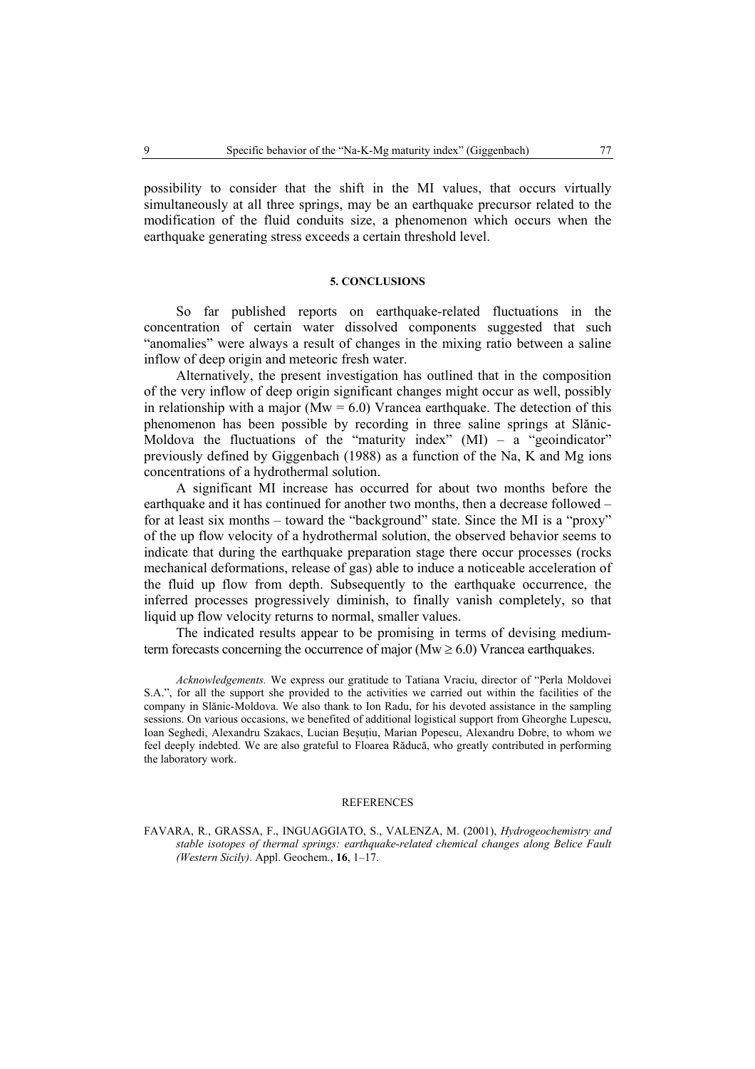possibility to consider that the shift in the MI values, that occurs virtually simultaneously at all three springs, may be an earthquake precursor related to the modification of the fluid conduits size, a phenomenon which occurs when the earthquake generating stress exceeds a certain threshold level.

### **5. CONCLUSIONS**

So far published reports on earthquake-related fluctuations in the concentration of certain water dissolved components suggested that such "anomalies" were always a result of changes in the mixing ratio between a saline inflow of deep origin and meteoric fresh water.

Alternatively, the present investigation has outlined that in the composition of the very inflow of deep origin significant changes might occur as well, possibly in relationship with a major ( $Mw = 6.0$ ) Vrancea earthquake. The detection of this phenomenon has been possible by recording in three saline springs at Slănic-Moldova the fluctuations of the "maturity index"  $(MI) - a$  "geoindicator" previously defined by Giggenbach (1988) as a function of the Na, K and Mg ions concentrations of a hydrothermal solution.

A significant MI increase has occurred for about two months before the earthquake and it has continued for another two months, then a decrease followed – for at least six months – toward the "background" state. Since the MI is a "proxy" of the up flow velocity of a hydrothermal solution, the observed behavior seems to indicate that during the earthquake preparation stage there occur processes (rocks mechanical deformations, release of gas) able to induce a noticeable acceleration of the fluid up flow from depth. Subsequently to the earthquake occurrence, the inferred processes progressively diminish, to finally vanish completely, so that liquid up flow velocity returns to normal, smaller values.

The indicated results appear to be promising in terms of devising mediumterm forecasts concerning the occurrence of major ( $Mw \ge 6.0$ ) Vrancea earthquakes.

*Acknowledgements.* We express our gratitude to Tatiana Vraciu, director of "Perla Moldovei S.A.", for all the support she provided to the activities we carried out within the facilities of the company in Slănic-Moldova. We also thank to Ion Radu, for his devoted assistance in the sampling sessions. On various occasions, we benefited of additional logistical support from Gheorghe Lupescu, Ioan Seghedi, Alexandru Szakacs, Lucian Beşuţiu, Marian Popescu, Alexandru Dobre, to whom we feel deeply indebted. We are also grateful to Floarea Răducă, who greatly contributed in performing the laboratory work.

### **REFERENCES**

FAVARA, R., GRASSA, F., INGUAGGIATO, S., VALENZA, M. (2001), *Hydrogeochemistry and stable isotopes of thermal springs: earthquake-related chemical changes along Belice Fault (Western Sicily)*. Appl. Geochem., **16**, 1–17.